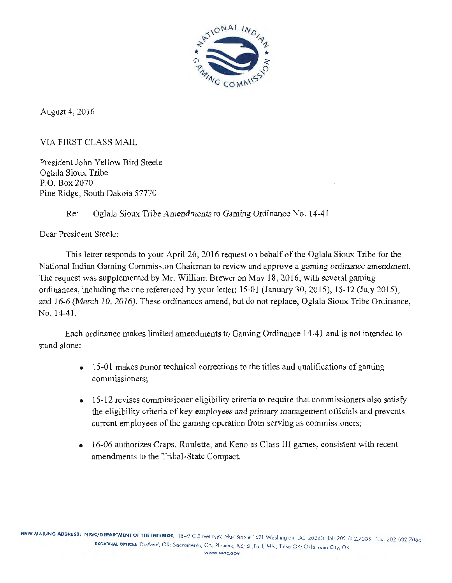

August 4, 2016

VIA FIRST CLASS MAIL

President John Yellow Bird Steele Oglala Sioux Tribe P.O. Box 2070 Pine Ridge, South Dakota 57770

# Re: Oglala Sioux Tribe Amendments to Gaming Ordinance No. 14-41

Dear President Steele:

This letter responds to your April 26, 2016 request on behalf of the Oglala Sioux Tribe for the National Indian Gaming Commission Chairman to review and approve a gaming ordinance amendment. The request was supplemented by Mr. William Brewer on May 18, 2016, with several gaming ordinances, including the one referenced by your letter: 15-01 (January 30, 2015), 15-12 (July 2015), and 16-6 (March 10, 2016). These ordinances amend, but do not replace, Oglala Sioux Tribe Ordinance, No. 14-41.

Each ordinance makes limited amendments to Gaming Ordinance 14-41 and is not intended to stand alone:

- $\bullet$  15-01 makes minor technical corrections to the titles and qualifications of gaming commissioners;
- 15-12 revises commissioner eligibility criteria to require that commissioners also satisfy the eligibility criteria of key employees and primary management officials and prevents current employees of the gaming operation from serving as commissioners;
- 16-06 authorizes Craps, Roulette, and Keno as Class III games, consistent with recent amendments to the Tribal-State Compact.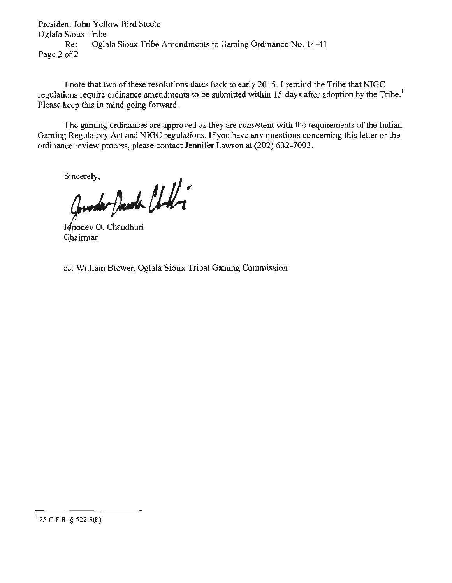President John Yellow Bird Steele Oglala Sioux Tribe Re: Oglala Sioux Tribe Amendments to Gaming Ordinance No. 14-41 Page 2 of 2

I note that two of these resolutions dates back to early 2015. I remind the Tribe that NIGC regulations require ordinance amendments to be submitted within 15 days after adoption by the Tribe.<sup>1</sup> Please keep this in mind going forward.

The gaming ordinances are approved as they are consistent with the requirements of the Indian Gaming Regulatory Act and NIGC regulations. If you have any questions concerning this letter or the ordinance review process, please contact Jennifer Lawson at (202) 632-7003.

Sincerely,

Quedar Davida Chili

Jonodev O. Chaudhuri Chairman

cc: William Brewer, Oglala Sioux Tribal Gaming Commission

I 25 C.F.R. *§* 522.J(b)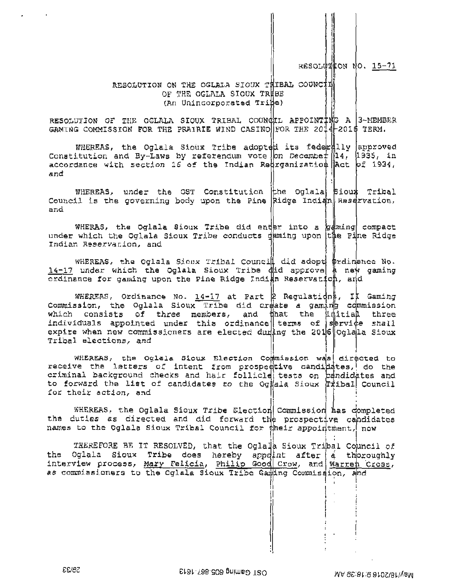RESOLUTION NO. 15-71

### RESOLUTION ON THE OGLALA SIOUX THIBAL COUNCIL OF THE OGLALA SIOUX TRUBE (An Unincorporated Tribe)

RESOLUTION OF THE OGLALA SIOUX TRIBAL COUNCIL APPOINTIME A 3-MEMBER GAMING COMMISSION FOR THE PRAIRIE WIND CASINO FOR THE 2014 2016 TERM.

WHEREAS, the Oglala Sioux Tribe adopted its feder illy approved Constitution and By-Laws by referendum vote on December 14, 1935, in<br>accordance with section 16 of the Indian Regrganization act of 1934, and

WHEREAS, under the OST Constitution the Oglala siout Tribal Council is the governing body upon the Pine Ridge Indian Reservation, and

WHERAS, the Oglala Sioux Tribe did enter into a gaming compact under which the Oglala Sioux Tribe conducts daming upon the Pine Ridge Indian Reservation, and

WHEREAS, the Oglala Sioux Tribal Council did adopt prdimance No.<br>14-17 under which the Oglala Sioux Tribe did approve a new gaming ordinance for gaming upon the Pine Ridge Indian Reservation, and

WHEREAS, Ordinance No.  $14-17$  at Part 2 Regulations, II Gaming Commission, the Oglala Sioux Tribe did create a gaming commission which consists of three members, and that the initial three individuals appointed under this ordinance terms of service shall expire when new commissioners are elected during the 2016 Oglaila Sioux Tribal elections, and

WHEREAS, the Oglala Sioux Election Commission was directed to receive the letters of intent from prospective candidates, do the criminal background checks and hair follicle tests on bandidates and to forward the list of candidates to the Oglala Sioux ritbal Council for their action, and

WHEREAS, the Oglala Sioux Tribe Election Commission has completed the duties as directed and did forward the prospective candidates names to the Oglala Sioux Tribal Council for their appointment, now

THEREFORE BE IT RESOLVED, that the Oglala Sioux Tribal Council of the Oglala Sioux Tribe does hereby appdint after a thoroughly interview process, Mary Felicia, Philip Good Crow, and Warren Cross, as commissioners to the Oglala Sioux Tribe Gaming Commission, and

**EE/6Z**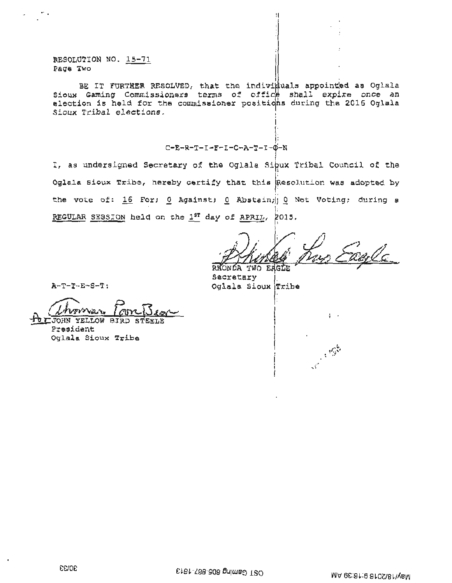RESOLUTION NO. 15-71 ~age Two

 $\sim$  .

BE IT FURTHER RESOLVED, that the indiviruals appointed as Oglala Sioux Gaming Commissioners terms of office shall expire once an election is held for the commissioner positions during the 2016 Oglala Sioux Tribal eleetions.

### j:  $C-E-R-T-T-F-L-C-A-T-T-0-N$

I, as undersigned Secretary of the Oglala Si $\frac{1}{2}$ ux Tribal Council of the Oglala Sioux Tribe, hereby certify that this Resolution was adopted by the vote of: 16 For; 0 Against; 0 Abstain; 0 Not Voting; during a REGULAR SESSION held on the  $1^{st}$  day of APRIL, 2015.

I; ule RHONDA TWO

 $\frac{1}{2}$  .

3500

 $\frac{1}{2}$ :

**Secretary** Oglala Sioux Tribe

A-T-T-E-S-T:

Uhrman Form Bean<br>JOHN YELLOW BIRD STEELE<br>President

OF-JOHN YELLOW BIR<br>President Oglala Sioux Tribe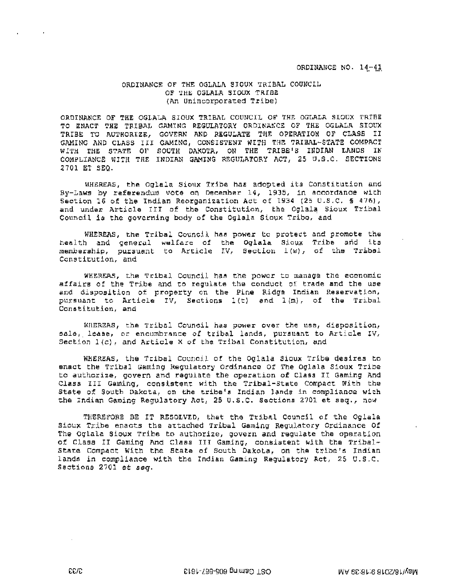#### ORDINANCE OF THE OGLALA SIOUX TRIBAL COUNCIL OF THE OGLALA SIOUX TRIBE (An Unincorporated Tribe)

ORDINANCE OF THE OGLALA SIOUX TRIBAL COUNCIL OF THE OGLALA SIOUX TRIBE TO ENACT THE TRIBAL GAMING REGULATORY ORDINANCE OF THE OGLALA SIOUX TRIBE TO AUTHORIZE, GOVERN AND REGULATE THE OPERATION OF CLASS II GAMING AND CLASS III GAMING, CONSISTENT WITH THE TRIBAL-STATE COMPACT WITH THE STATE OF SOUTH DAKOTA, ON THE TRIBE'S INDIAN LANDS IN COMPLIANCE WITH THE INDIAN GAMING REGULATORY ACT, 25 U.S.C. SECTIONS 2701 ET SEO.

WHEREAS, the Oglala Sioux Tribe has adopted its Constitution and By-Laws by referendum vote on December 14, 1935, in accordance with Section 16 of the Indian Reorganization Act of 1934 (25 U.S.C. § 476), and under Article III of the Constitution, the Oglala Sioux Tribal Council is the governing body of the Oglala Sioux Tribe, and

WHEREAS, the Tribal Council has power to protect and promote the health and general welfare of the Oglala Sioux Tribe and its membership, pursuant to Article IV, Section 1(w), of the Tribal Constitution, and

WHEREAS, the Tribal Council has the power to manage the economic affairs of the Tribe and to regulate the conduct of trade and the use and disposition of property on the Pine Ridge Indian Reservation, pursuant to Article IV, Sections 1(t) and 1(m), of the Tribal Constitution, and

WHEREAS, the Tribal Council has power over the use, disposition, sale, lease, or encumbrance of tribal lands, pursuant to Article IV, Section 1(c), and Article X of the Tribal Constitution, and

WHEREAS, the Tribal Council of the Oglala Sioux Tribe desires to enact the Tribal Gaming Regulatory Ordinance Of The Oglala Sioux Tribe to authorize, govern and requiate the operation of Class II Gaming And Class III Gaming, consistent with the Tribal-State Compact With the State of South Dakota, on the tribe's Indian lands in compliance with the Indian Gaming Regulatory Act, 25 U.S.C. Sections 2701 et seg., now

THEREFORE BE IT RESOLVED, that the Tribal Council of the Oglala Sioux Tribe enacts the attached Tribal Gaming Regulatory Ordinance Of The Oglala Sioux Tribe to authorize, govern and regulate the operation of Class II Gaming And Class III Gaming, consistent with the Tribal-State Compact With the State of South Dakota, on the tribe's Indian lands in compliance with the Indian Gaming Regulatory Act, 25 U.S.C. Sections 2701 et seg.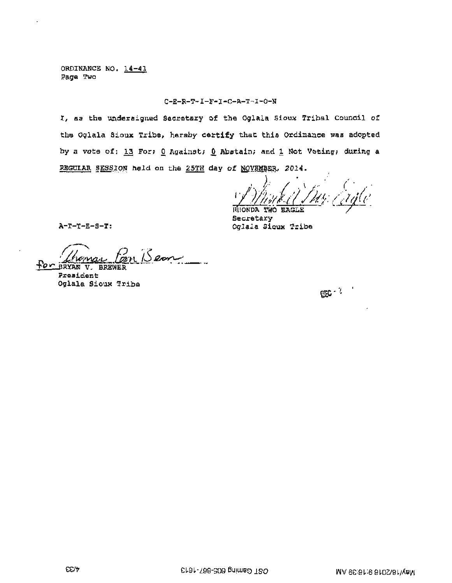ORDINANCE NO. 14-41 Page Two

#### $C - E - R - T - I - F - I - C - A - T - I - O - N$

I, as the undersigned Secretary of the Oglaia Sioux Tribal Council of the Oglala Sioux Tribe, hereby certify that this Ordinance was adopted by a vote of: 13 For; 0 Against; 0 Abstain; and 1 Not Voting; during a REGULAR SESSION held on the 25TH day of NOVEMBER. 2014.

Secretary Oglala Sicux Tribe

 $A-T-T-E-S-T:$ 

Bear i<br>Sala FOR BRYAN V. BREWER

President Oglala Sioux Tribe

 $\mathbb{C}^{n^{\gamma-1}}$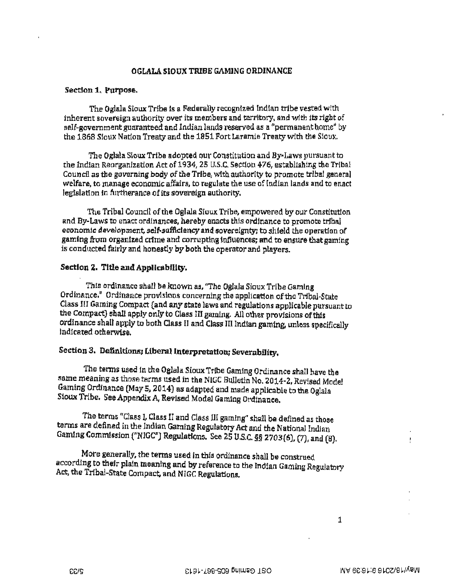#### OGLALA SIOUX TRIBE GAMJNG ORDINANCE

#### Section 1. Purpose.

The Oglala Sioux Tribe ls a Federally recognlzed lnd!an tribe vested with inherent sovereign authority over its members and territory, and with its right of self-government guaranteed and Indian lands reserved as a "permanent home" by the 1868 Sioux Nation Treaty and the 1851 Port Laramie Treaty with the Sioux.

The Oglala Sioux Tribe adopted our Constitution and By-Laws pursuant to the lndian Reorganizatton Act of 19 34, 25 U.S.C, Section 476, establishing the Tribal Council as the governing body of the Tribe, with authority to promote tribal general welfare, to manage economic affairs, to regulate the use of Indian lands and to enact legislation ln furtherance of its sovereign authority,

The Tribal Council of the Oglala Sicux Ttibe, empowered by our Constitution and By-Laws to enact ordinances, hereby enacts this ordlnance to promote trJbal economic development, self-sufficiency and sovereignty; to shield the operation of gaming from organized crime and corrupting influences; and to ensure that gaming is conducted fairly and honestly by both the operator and players.

#### Section 2. Title and Applicability.

This ordinance shall be known as, "The Oglala Sioux Tribe Gaming Ordinance." Ordinance provisions concerning the application of the Tribal-State Class III Gaming Compact (and any state laws and regulations applicable pursuant to the Compact) shall apply only to Class III gaming. All other provisions of this ordinance shall apply to both Class ll and Class 1Il Indian gaming, unless specifically indicated otherwise.

# Section 3. Definitions; Liberal Interpretation; Severability.

The terms used In the Oglala Sioux Tribe Gaming Ordinance shalJ have the same meaning as those terms used in the NIGC Bulletin No. 2014-2, Revised Model Gaming Ordinance (May 5, 2014) as adapted and made applicable to the Oglala Sioux Tribe. See Appendix *Ai* ReVised Model Gaming Ordinance.

The terms "Class I, Class II and Class III gaming" shall be defined as those terms are defined in the Indian Gaming Regulatory Act and the National Indian Gaming Commission ("NIGC") Regulations. See 25 U.S.C. *§§* 2703(6), (7), and (8).

More generally, the terms used in this ordinance shall be construed according to their plain meaning and by reference to the Indian Gaming Regulatory Act, the Tribal-State Compact, and NIGC Regulations.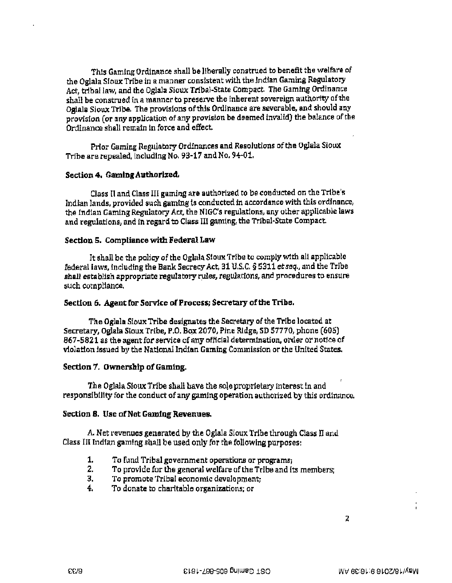This Gaming Ordinance shall be ]lberally construed to benefit the welfare of the Oglala Sioux Tribe in a manner cons1stent with the lndian Gaming Regulatory Act, tribal law, and the Oglala Sioux Tribal-State Compact. The Gaming Ordinance shall be construed in a manner to preserve the inherent sovereign authority of the Ogiala Sioux Trlbe. The provisions of this Ordinance are severable, and should any provision (or any application of any provision be deemed invalid) the balance of the Ordinance shall remain in force and effect.

Prior Gaming Regulatory Ordinances and Resolutions of the Oglala Sioux Tribe are repealed, including No. 93-17 and No. 94·01.

### Section 4. Gaming Authorized.

Class II and Class III gaming are authorized to be conducted on the Tribe's Indian lands, provided such gaming is conducted in accordance with this ordinance, the Indian Gaming Regulatory Act, the NIGC's regulations, any other applicable laws and regulations, and in regard to Class III gaming, the Tribal-State Compact.

### Section S. Compliance with Federal Law

It shall be the policy of the Oglala Sioux Tribe to comply with all applicable federal laws, lncluding the Bank Secrecy Act, 31 U.S.C. § 5311 *et seq.,* and the Tribe shall establish appropriate regulatory rules, regulations, and procedures to ensure such compliance.

#### Section 6. Agent for Service of Process; Secretary of the Tribe.

The Oglala Sioux Tribe designates the Secretary of the Trlbe located at Secretary, Oglala Sioux Tribe, P.O. Box 2070, Pine Ridge, SD 57770, phone (605) 867-5821 as the agent for service of any official determination, order or notice of violatton issued by the National Indian Gaming Commission or the United States.

### Section 7. Ownership of Gaming.

The Oglala Sioux Tribe shall have the sole proprtetary interest in and responsibility for the conduct of any gaming operation authorized by this ordinance.

#### Section 8. Use of Net Gaming Revenues.

A. Net revenues generated by the Oglala Sioux Trihe through Class ll and Class III Indian gaming shall be used only for the following purposes:

- 1. To fund Tribal government operations or programs;
- 2. To provide for the general welfare of the Tribe and its members;
- 3. To promote Tribal economic development;
- 4. To donate to charitable organizations; or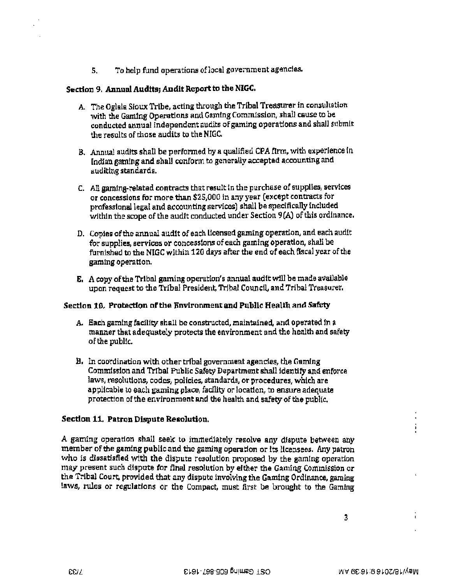S. To help fund operations oflocal government agencies.

## Section 9. Annual Audits; Audit Report to the NIGC.

- A. The Oglala Sioux Tribe, acting through the Tribal Treasurer in consultation with the Gaming Operations and Gaming Commission, shall cause to be conducted annual independent audits of gaming operations and shall submit the results of those audits to the NIGC.
- B. Annual audits shall be performed by a qualified CPA firm, with experience in (ndian gaming and shall conform to generally accepted accounting and auditlng standards.
- C. All gaming-related contracts that result in the purchase of supplies, services or concessions for more than \$25,000 in any year (except contracts for professional legal and accounting services) shall be specifically included within the scope of the audit conducted under Section 9(A} of this ordinance.
- D. Copies of the annual audit of each licensed gaming operation, and each audit for supplies, sertioes or concessions of each gaming operatlon, shall be furnished to the NIGC within 120 days after the end of each fiscal year of the gaming operation.
- E. A copy of the Tribal gaming operation's annual audit will be made available upon request to the Tribal President, Tribal Council, and Tribal Treasurer.

### Section 16. Protection of the Environment and Public Health and Safety

- A. Each gaming facility shall be constructed, maintained, and operated in a manner that adequately protects the environment and the health and safety of the public.
- B. In coordination with othertrtbal government agencies, the Gaming Commfsslon and Tribal Public Safety Department shall identify and enforce laws, resolutions, codes, policies, standards, or procedures, which are applicable to each gaming place, facility or location, to ensure adequate protection of the environment and the health and safety of the public.

## Section 11. Patron Dispute Resolution.

A gaming operation shall seek to immediately resolve any dispute between any member of the gaming public and the gaming operation or lts licensees. Any patron who is dissatisfied with the dispute resolution proposed by the gamlng operation may present such dispute for final resolution by either the Gaming Commission or the Tribal Court. provided that any dispute 1nvolvlng the Gaming Ordlnance, gaming laws, rules or regulations *or* the Compact, must first be brought to the Gaming

Ĭ.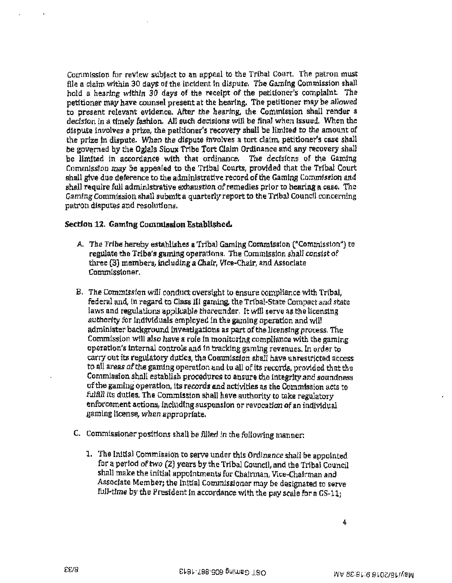Commission for revtew subject to an appeal to the Tribal Court. The patron must file a claim within 30 days of the incident tn dispute. The Gamlng Commission shall hold a hearing within 30 days of the receipt of the petitioner's complaint The petitioner may have counsel present at the hearing. The petitioner may be allowed to present relevant evidence. After the hearing, the Commission shall render a decision in a timely fashion. All such decisions will be final when issued. When the dispute involves a prize, the petitioner's recovery shall be limited to the amount of the prize tn dispute. When the dispute jnvolves a tort clatm, petitioner's case shall be governed by the Oglaia Sioux Tribe Tort Claim Ordinance and any recovery shall be limited in accordance with that ordinance. The decisions of the Gaming Commission may be appealed to the Tribal Courts, provided that the Tribal Court shall give due deference to the administrative record of the Gaming Commission and shall require full adminlstrative exhaustlon of remedies prior to hearing a case. The Gaming Commission shall submit a quarterly report to the Tribal Council concerning patron disputes and resolutions.

### Section 12. Gamlna Commission Establlshed.

- A. The Tribe hereby establishes a Tribal Gaming Commission ("Commission") to regulate the Tribe's gaming operations. The Commission shall consist of three (3) members, including a Chair, Vice-Chair, and Associate Commissioner.
- B. The Comm1ssfon will conduct oversight to ensure compliance with Tribal, federal and, In regard ta Class Ill gaming, the Tribal-State Compact and state laws and regulations applicable thereunder. It will serve as the licensing authority for individuals employed in the gaming operation and will administer background investigations as part of the licensing process. The Commission will also have a role in monitoring compliance with the gaming operation's internal controls and in tracking gaming revenues. In order to carry out its regulatory duties, the Commission shall have unrestricted access to all areas of the gaming operation and to all of its records, provided that the Commission shall establish procedures to ensure the integrity and soundness of the gaming operation, its records and activities as the Commfssion acts to fulfill its duties. The Commission shall have authority to take regulatory enforcement actions, including suspension or revocation of an individual gaming license, when appropriate.
- C. Commissioner positions shall be filled in the following manner:
	- 1. The Inftfal Commission to serve under thls Ordinance shall be appointed for a period of two (2) years by the Tribal Council, and the Tribal Council shall make the initial appointments for Chairman, Vice·Chatrman and Associate Member; the Initial Commlssloner may be deslgnated to serve full-time by the President in accordance with the pay scale for a GS-11;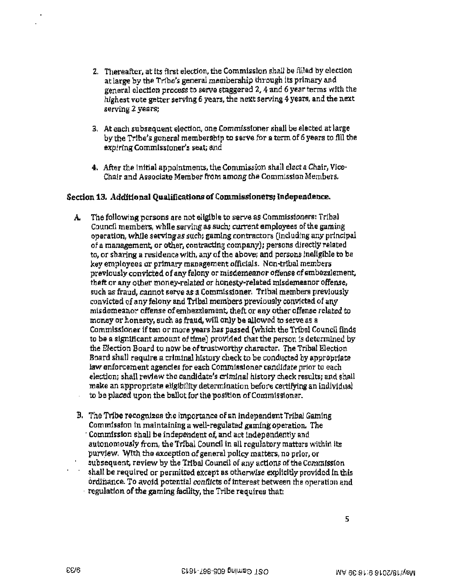- 2. Thereafter, at its first election, the Commission shall be filled by election at large by the Tribe's general membership through Its primary and general election process to serve staggered 2, 4 and 6 year terms with the highest vote getter serving 6 years, the next serving 4 years, and the next serving *2* years;
- 3. At each subsequent election, one Commissioner shall be elected at large by the Tribe's general membership to serve for a term of 6 years to fill the expiring Commissioner's seat; and
- 4. After the initial appointments, the Commission shall elect a Chair, Vice-Chair and Associate Member from among the Commission Members.

### Section 13. Additional Qualifications of Commissioners, Independence.

- A. The fotlowing persons are not eligible to serve as Commissioners: Tribal Council members, while serving as such; current employees of the gaming operation, while serving as such; gaming contractors (including any principal of a management, or other, contracting company); persons directly related to, or sharing a residence with, any of the above; and persons ineligible to be key employees er primary management officials. Non·tribal members previously convicted of any felony or misdemeanor offense of embezzlement, theft or any other money-related or honesty-related misdemeanor offense, such as fraud, cannot serve as a Commissioner. Tribal members previously convicted of any felony and Tribal members previously convicted of any misdemeanor offense of embezzlement theft or any other offense related to money or honesty, such as fraud, will only be allowed to serve as a Commissioner if ten or more years has passed (which the Tribal Council finds to be a significant amount of tfme) provtded that the person ts determined by the Election Board to now be of trustworthy character. The Tribal Election Board shall require a criminal history check to be conducted by appropriate law enforcement agencies for each Commissioner candidate prior to each election; shall review the candidate's criminal history check results; and shall make an appropriate eligibility determination before certifying an individual to be placed upon the ballot for the position of Commtssloner.
- B. The Tribe recognizes the importance of an independent Tribal Gaming Commission in maintaining a well-regulated gaming operation. The Commission shall be independent of, and act independently and autonomously from, the Tribal Council in all regulatory matters within its purview. Wtth the exception of general policy matters, no prior, or subsequent, review by the Tribal Council of any actions of the Commission shall be required or permitted except as otherwise explicitly provided in this ordinance. To avoid potential conflicts of interest between the operation and regulation of the gaming facility, the Tribe requires that: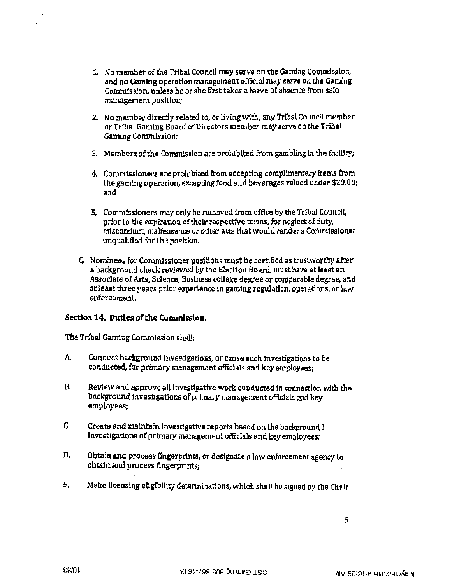- 1. No member of the Tribal Council may serve on the Gaming Commission, and no Gaming operation management official may serve on the Gaming Commission, unless he or she first takes a leave of absence from sald management pos1tlon:
- 2. No member directly related to, or living with, any Tribal Councll member or Tribal Gaming Board of Directors mem her may serve on the Tribal Gaming Commission;
- 3. Members of the Commission are prohibited from gambling in the facility;
- 4. Commissioners are prohibited from accepting compllmentary items from the gaming operation, excepting food and beverages valued under \$20.00; and
- 5. Commissioners may only be removed from office by the Tribal Council, prior to the expiration of their respective terms, for neglect of duty, misconduct. malfeasance or other acts that would render a Commissioner unqual1fled for the position.
- C. Nominees for Commissioner positions must be certified as trustworthy after a background check reviewed by the Election Board, must have at least an Associate of Arts, Science, Business college degree or comparable degree, and at least three years prior experience in gaming regulation, operations, or law enforcement.

## Section 14. Duties of the Commission.

The Tribal Gaming Commission shall;

- A. Conduct background investigations, or cause such investigations to be conducted, for primary management officials and key employees;
- B. Review and approve all investigative work conducted in connection with the background investigations of primary management officials and key employees;
- C. Create and maintain investigative reports based on the background I investigations of primary management officials and key employees;
- D. Obtain and process fingerprints, or designate a law enforcement agency to obtafn and process fingerprints; .
- B. Make licensing eligibility determinations, which shall be signed by the Chair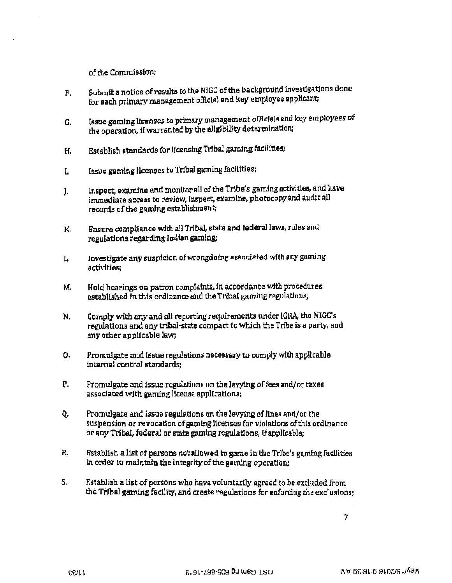of the Commission;

- F. Subrntt a notice of results to the NIGC of the background investigations done for each primary management official and key employee applicant;
- G. lssue gaming licenses to primary management officials and key employees of the operation, if warranted by the ellgibility determination;
- H. Establish standards for licensing Tribal gaming facilities:
- 1. Issue gaming licenses to Tribal gaming facilities;
- J. Inspect, examine and monitor all of the Tribe's gaming activities, and have immediate access to review, inspect, examine, photocopy and audit all records cf the gaming establishment;
- K. Ensure compliance with all Tribai state and federal laws, rules and regulations regarding Indian gaming;
- L. Investigate any suspfdon of wrongdoing associated with any gaming activities~
- M. Hold hearings on patron complaints, 1n accordance with procedures established in this ordinance and the Tribal gaming regulations;
- N. Comply with any and all reporting requirements under IGRA, the NIGC's regulations and any tribal-state compact to which the Tribe is a party, and any other applicable law;
- o. Promulgate and issue regulations necessary to comply with applicable internal control standards;
- P. Promulgate and issue regulations on the levying of fees and/or taxes associated with gaming license applications;
- Q. Promulgate and issue regulations on the levying of fines and/or the suspension or revocation of gaming licenses for violations of this ordinance or any Tribal, federal or state gaming regulations, if applicable;
- R. Establish a list of persons net allowed to game in the Trlbe's gaming facilities In order to maintain the integrity of the gaming operation;
- *s.*  Establish a list of persons who have voluntarily agreed to be excluded from the Tribal gaming facility, and create regulations for enforcing the exclusions;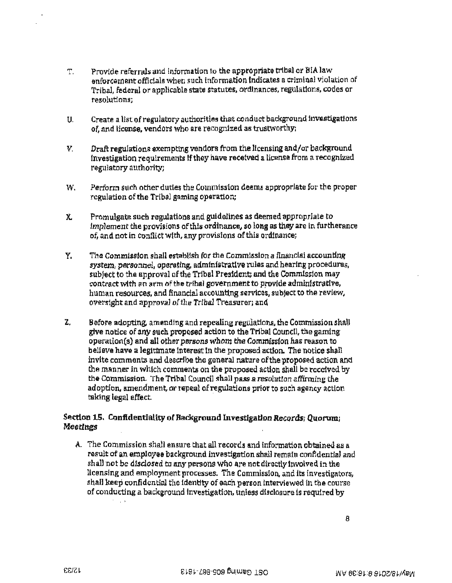- T. Provide referrals and Information to the appropriate tribal or BIA law enforcement officials whee such information indicates a criminal violation of Tribal, federal or applicable state statutes, ordinances, regulations, codes or resolutions;
- U. Create a list of regulatory authorities that conduct background Investigations of, and license. vendors who are recognized as trustworthyi
- V. Draft regulations exempting vendors from the ltcensing and/or background investigation requirements If they have recetved a license from a recognized regulatory authority;
- W. Perform such other duties the Commission deems appropriate for the proper regulation of the Tribal gaming operation;
- *X.* Promulgate such regulations and guidelines as deemed appropriate to Implement the provisions of this ordinance, so long as they are in furtherance of, and not in conflictwfth, anyprovisfons of this ordtnance;
- Y. The Commission shall establish for the Commission a financial accounting system, personnel, operating, administrative rules and hearing procedures, subject to the approval of the Tribal President; and the Commission may contract with an arm of the tribal government to provide administrative, human resources, and financial accounting services, subject to the review, oversight and approval of the Tribal Treasurer; and
- Z. Before adopting, amending and repealing regulations, the Commission shall give notice of any such proposed action to the Tribal Council, the gaming operation(s) and all other persons whom the Commission has reason to believe have a legitimate interest in the proposed action. The notice shall invite comments and describe the general nature of the proposed action and the manner in which comments on the proposed action shall be received by the Commission. The TrlbaI Council shall pass a resolution affirming the adoption, amendment, or repeal of regulations prior to such agency action taking legal effect. ·

## Section 15. Confidentiality of Background Investigation Records; Quorum; Meetings

A. The Commission shall ensure that all records and information obtained as a result of an employee background investigation shalJ remain confidential and shall not be disclosed to any persons who are not directly involved in the licensing and employment processes. The Commission, and its investigators, shall keep confidential the identity of each person interviewed in the course of conducting a background investigation, unless disclosure is required by  $\mathbf b$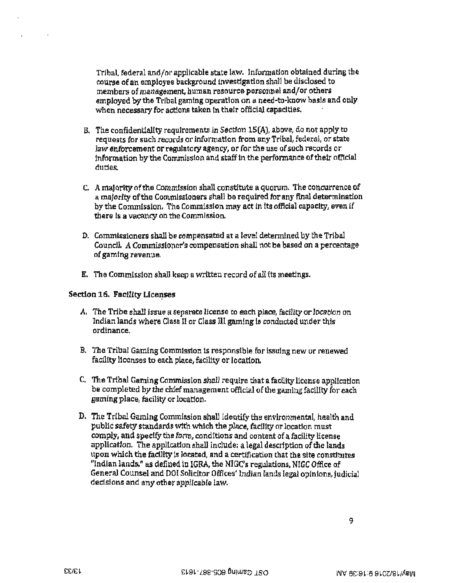Tribal, federal and/or applfcable state law. Jnformatlon obtained during the course of an employee background investigation shall be disclosed to members of management, human resource personnel and/or others employed by the Tribal gaming operation on a need-to·know basis and only when necessary for actions taken tn their official capacities.

- B. The confidentiality requirements in Section lS(A), above, do not apply to requests for such records or informattcn from any Tribal, federal, or state Jaw enforcement or regulatory agency, or for the use of such records or information by the Commission and staff in the performance of their official duties.
- C. A maJorlty of the Commtsslon shall constitute a quorum. The concurrence of a majority of the Commissioners shall be required for any final determination by the Commission. The Commission may act in its official capacity, even if there Is a vacancy on the Commission.
- D. Commissioners shall be compensated at a level detennlned by the Tribal Councll. A Commissioner's compensation shall not be based on a percentage of gaming revenue.
- B'. The Commission shall keep a written record of all its meetings.

### Section 16. Facility Licenses

- *A.* The Tribe shall issue a separate license *to* each place, faciJlt;y or location on Indian lands where Class II or Class 111 gaming is conducted under thfs ordinance.
- B. The Tribal Gaming Commission is responsible for issuing new or renewed facility licenses to each place, facility or location.
- C. The Tribal Gaming Commission shall require that a facility license application be completed by the chief management official of the gaming facility for each gaming place, facility or location.
- D. The Tr!bal Gaming Commission shall identify the environmental, health and public safety standards with which the place, facility or location must comply, and specify the form, conditions and content of a facility license application. The application shall include: a legal description of the lands upon which the facility is located, and a certification that the site constitutes "Indian lands," as defined in IGRA, the NIGC's regulations, NIGC Office of General Counsel and DOI Solicitor Offices' Indian lands legal opinions, judicial decisions and any other applicable law.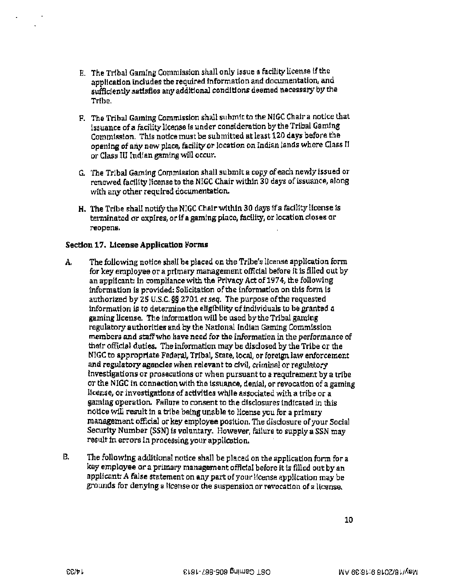- E. The Tribal Gaming Commission shall only issue a facility license if the application includes the required information and documentation, and sufficiently satisfies any additional conditions deemed necessary by the Tribe.
- F. The Tribal Gaming Commission shall submit to the NIGC Chair a notice that issuance of a facility license is under consideration by the Tribal Gaming Commission. This notice must be submitted at least 120 days before the openjng of any new place, facility *or* location on rndian lands where Class II or Class III Indian gaming will occur.
- G. The Tribal Gaming Commission shall submit a copy of each newly issued or renewed fadltty license to the NIGC Chair within 30 days of issuance, along with any other required documentation.
- H. The Tribe shall notify the NIGC Chair within 30 days if a facility license ts terminated or expires, or if a gaming place, facility, or location closes or reopens.

### Section 17. License Application Forms

- A. The following notice shall be placed on the Tribe's license application form for key employee or a primary management official before it is filled out by an applicant: In compliance with the Privacy Act of 1974, the following information is provided: Solicitation of the information on this form is authorized by ZS U.S.C. §§ 2701 *et seq.* The purpose of the requested information is to determine the eligibility of individuals to be granted a gaming license. The information will be used by the Tribal gaming regulatory authorities and by the National Indian Gaming Commission members and staff who have need for the information in the performance of their official duties. The information may be disclosed by the Tribe or the NlGC to appropriate Federal, Tribal, State, locaL or foreign. law enforcement and regulatory agencies when relevant to cfvil, criminal or regulatory Investigations or prosecutions or when pursuant to a requirement by a tribe or the NIGC in connection with the issuance, denial, or revocatton of a gaming license, or investigations of activities while associated with a tribe or a gaming operation. Failure to consent to the disclosures indicated in this notlce will result in a tribe being unable to license you for a primary management official or key employee position. The disclosure of your Social Security Number (SSN) is voluntary. However, failure to supply a SSN may result in errors in processing your application.
- B. The following additional notice shall be placed on the application form for a key employee or a primary management offlcial before it is filled out by an applicant~ *A* false statement on any part of your Hcense application may be grounds for denying a Ucense or the suspension or revocation of a license.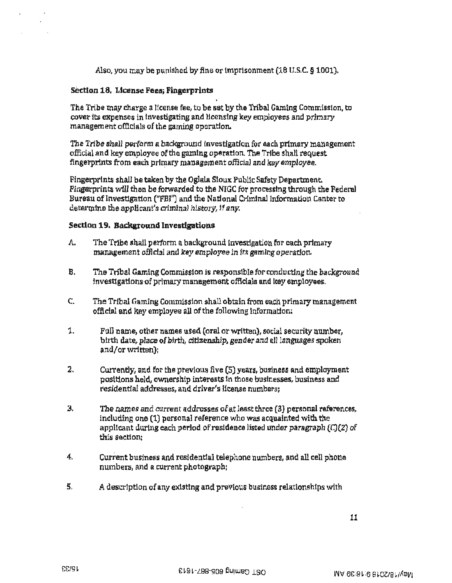Also, you may be punished by fine or Imprisonment (18 U.S.C. § 1001).

### Section 18. License Fees; Fingerprints

The Tribe may charge a license fee, to be set by the Tribal Gaming Commission, to cover tts expenses in investigating and licensing key employees and primary management officials of the gaming operatton.

The Tribe shall perform a background tnvestlgatlon for each primary management official and key employee of the gaming operation. The Trfbe shall request fingerprints from each primary management official and key employee.

Fingerprints shall be taken by the Oglala Sioux Public Safety Department. Fingerprints will then be forwarded to the NIGC for processing through the Federal Bureau of Investigation ("FBI") and the National Criminal Information Center to determtne the applicant's criminal history, if any.

### Section 19. Background Investigations

- A. The Tribe shall perform a background investigation for each primary management official and key employee in its gaming operation.
- B. The Tribal Gaming Commission is responsible for conducting the background lnvesttgatlons·of primary management officlals and key employees,
- C. The Tribal Gaming Commission shall obtain from each primary management official and key employee all of the following Information:
- 1. Full name, other names used (oral or written), social security number, birth date, place of birth, citizenship, gender and all languages spoken and/or written);
- 2. Currently, and for the previous five  $(5)$  years, business and employment positions held, ownership interests In those businesses, business and residential addresses, and driver's license numbers;
- 3. The names and current addresses of at least three [3) personal references, including one (1) personal reference who *was* acquainted with the applicant durtng each period of residence listed under paragraph (C)(2) of this section:
- 4. Current business and residential telephone numbers, and all cell phone numbers, and a current photograph:
- S. A description of any exlsttng and prevlous business relationships with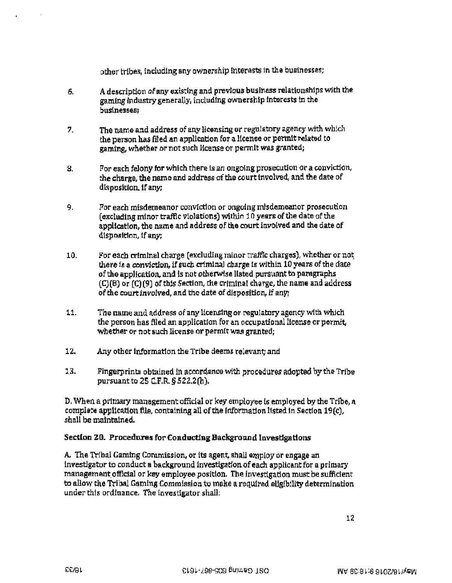other tribes, including any ownership Interests in the businesses;

- 6. A description of any existing and previous business relationships with the gaming industry generally, including ownership interests in the businesses:
- 7. The name and address of any licensing or regulatory agency with which the person has filed an application for a license or permit related to gaming, whether or not such license or permit was granted;
- 8. For each felony for which there is an ongoing prosecution or a conviction, the charge, the name and address of the court involved, and the date of disposition, tf anyi
- 9. For each misdemeanor conviction or ongoing misdemeanor prosecution (excluding minor traffic violations) within 10 years of the date of the application, the name and address of the court involved and the date of disposition, if any:
- 10. For each criminal charge (excluding minor traffic charges), whether or not there 1s a conviction, if such criminal charge ls within 10 years of the date of the application, and is not otherwise listed pursuant to paragraphs (C)(B) or (C)(9) of this Section, the criminal charge, the name and address of the court involved, and the date of disposition, if any;
- 11. The name and address of any licensing or regulatory agency with which the person has filed an application for an occupational license or permit, whether or not such license or permit was granted;
- 12. Any other lnformatlon the Tribe deems relevant; and
- 13. Fingerprints obtained in accordance with procedures adopted by the Tribe pursuant to 2S C.F.R. § 522.2(h).

D. When a primary management official or key employee is employed by the Tribe, a complete application file, containing all of the Information listed in Section 19(c). shall be maintained.

## Sectlon 20. Procedures for Conducting Background Investigations

A. The Tribal Gaming Commission, or its agent, shall employ or engage an investigator to conduct a background investigation of each applicant for a primary management official or key employee position. The investigation must be sufficient to allow the Tribal Gaming Commission to make a required eligibility determination under this ordinance. The investigator shall: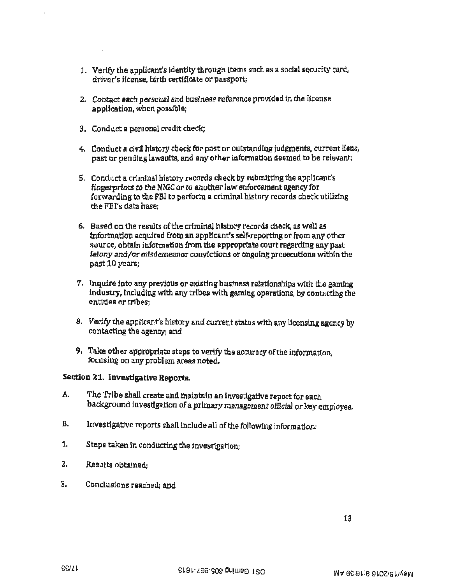- 1. Verify the applicant's identity through items such as a social security card, driver's license, birth certificate or passport;
- 2. Contact each personal and business reference provided in the license application, when possible;
- 3. Conduct a personal credit check;
- 4. Conduct a civil history check for past or outstanding judgments. current Hens, past or pending lawsutts, and any other infonnation deemed to be relevant;
- S. Conduct a criminal history records check by submitting the applicant's fingerprints to the NIGC or to another law enforcement agency for forwarding to the FBI to perform a criminal history records check utilizing the FBI's data basei
- 6. Based on the results of the criminal history records check. as well as Jnformatlon acquired from an applicant's self-reporting or from any other source, obtain information from the appropriate court regarding any past felony and/ot misdemeanor conYlctions or ongoing prosecutions within the past 10 *years;*
- 7. Inquire into any previous or existing business relationships with the gaming industry, including with any tribes with gaming operations, by contacting the entitles or tribes:
- 8. Verify the applicant's history and current status wlth any licenslng agency by contacting the agency; and
- 9. Take other appropriate steps to verify the accuracy of the information, focusing on any problem areas noted.

## Section 21. Investigative Reports.

- A. The Tribe shall create and maintain an investigative report for each background investigation of a primary management official or key employee.
- B. lnvestigative reports shall include all of the following information:
- 1. Steps taken in conducting the investigation;
- 2. Results obtained:
- 3. Conclusions reached; and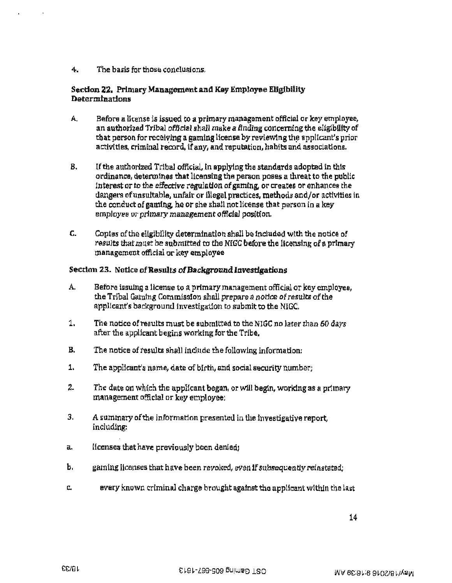4. The basis for those conclusions.

## Section 22. Primary Management and Key Employee Eligibility Determinations

- A. Before a license is issued to a primary management official or key employee, an authorized Tribal official shall make a finding concerning the eligibility of that person for receiving a gaming license by reviewing the applicant's prior activities, criminal record, if any, and reputation. habits and associations.
- B. If the authorized Tribal official, in applying the standards adopted in this ordinance, determines that licensing the person poses a threat to the public interest or to the effective regulation of gamlng, or creates or enhances the dangers ofunsuJtable, unfair or illegal practices, methods and/or activities in the conduct of gaming, he or she shall not license that person in a key employee or primary management official position.
- C. Coples of the eliglbillty determination shall be included wlth the notice of results that must be submitted to the NIGC before the licensing of a primary management official or key employee

## Section 23. Notice of Results of Background Investigations

- A. Before issuing a license to a primary management official or key employee, the Tribal Garntng Commisston shall prepare a notice of results of the appltcant's background investigation to submit to the NIGC.
- 1. The notice of results must be submitted to the NIGC no later than 60 days after the applicant begins working for the Tribe.
- B. The notice of results shalt include the following information:
- 1. The appllcant's name, date af bftth, and social security number;
- 2. The date on which the applicant began, or will begin, working as a primary management official or key employee;
- 3, A summary of the information presented in the investigative report, including:
- a. licenses that have previously been denledi
- b. gaming licenses that have been revoked, even if subsequently reinstated;
- c. every known criminal charge brought against the applicant within the last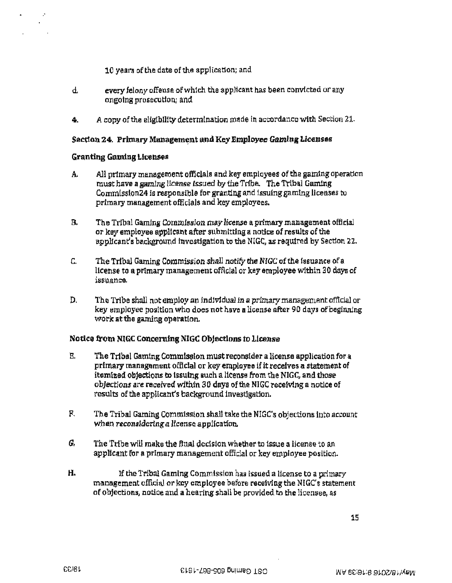10 years of the date of the application; and

- d. every felony offense of whtch the applicant has been convicted or any ongoing prosecution,; and.
- 4. A copy of the eligibility determination made in accordance with Section 21.

### Section 24. Primary Management and Key Employee Gaming Licenses

### Granting Gaming Licenses

.·

- A. All primary management officials and key employees of the gaming operation must have a gaming license issued by the Trfbe. The Tribal Gaming Commisslon24 is responsible for granting and issuing gaming licenses to primary management officials and key employees.
- B. The Tribal Gaming Commission may license a primary management official or key employee applicant after submitting a notice of results of the applicant's background investigation to the NIGC, as required by Section 22.
- C. The Tribal Gaming Commission shall notify the NIGC of the issuance of a license to a primary management official or key employee within 30 days of issuance.
- D. The Tribe shall not employ an individual in a primary management official or key employee position who does not have a license after 90 days of beginning work at the gaming operation.

### Notice from NlGC Concerning NIGC Objections to License

- E. The Tribal Gaming Commission must reconsider a license application for a primary management officlal or key employee if it receives a statement of itemized objections to issuing such a license from the NIGC, and those objections are received within 30 days of the NIGC receiving a notice of results of the applicant's background investigation.
- F. The Tribal Gaming Commission shall take the NIGC's objections into account when reconsidering a license application.
- G. The Tribe will make the final decision whether to issue a license to an applicant for a primary management official or key employee position.
- H. If the Tribal Gaming Commission has issued a license to a prlmary management official or key employee before receiving the NIGC's statement of objections, notice and a hearing shall be provided to the licensee, as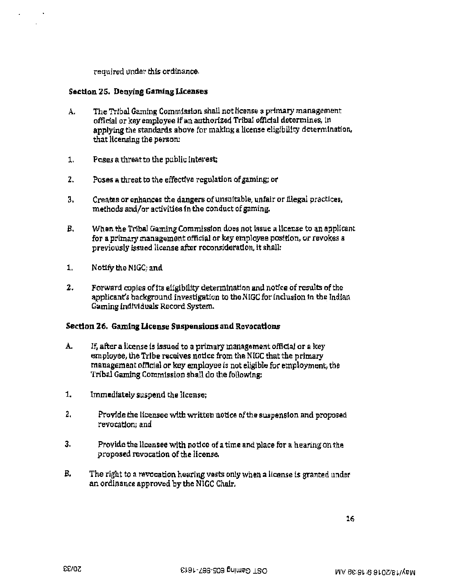required under this ordinance.

### Section 25. Denying Gaming Licenses

- A. The Tribal Gaming Commission shall not license a primary management official or key employee if an authorized Tribal official determines, in applying the standards above for making a license eligibility determination, that licensing the person:
- 1. Poses a threat to the public interest.:
- 2. Poses a threat to the effectlve regulation of gaming; or
- 3. Creates or enhances the dangers of unsuitable, unfair or illegal practices, methods and/or activities fn the conduct of gaming.
- B. When the Tribal Gaming Commissfon does not lssue a license to an applicant for a primary management official or key employee posftion, or revokes a previously issued license after reconsideration. it shall:
- 1. Notify the NIGC; and
- 2. Forward copies of its eligibility determination and notice of results of the applicant's background investigation to the NIGC for lnclusion tn the Indian Gaming Individuals Record System.

### Section 26. Gaming License Suspensions and Revocations

- A. If, after a license ts issued to a primary management official or a key employee, the Tribe receives notice from the NIGC that the primary management offtctal or key employee is not eligible for employment, the Tribal Gaming Commission shall do the following:
- 1. Immediately suspend the license;
- 2. Provide the licensee with written notice of the suspension and proposed revocation; and
- 3. Provide the licensee with notice of a time and place for a hearing on the proposed revocation of the license.
- B. The right to a revocation hearing vests only when a license is granted under an ordinance approved by the NIGC Chnlr.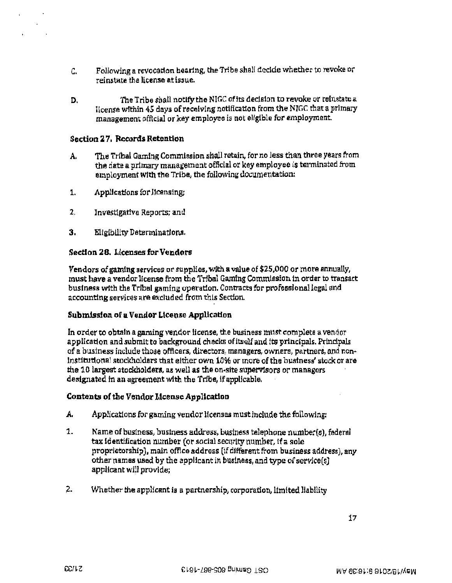- c. Following a revocation hearing, the Tribe shall decide whether to revoke or reinstate the license at issue.
- D. The Tribe shall notify the NIGC of its decision to revoke or reinstate a license within 45 days of receiving notification from the NJGC that a primary management official or key employee is not eligible for employment.

### Section 27. Records Retention

 $\mathbf{r}$ 

- A. The Tribal Gaming Commission shall retain, for no less than three years from the date a primary management official or key employee is terminated from employment with the Tribe, the following documentation:
- 1. Applications for licensing;
- 2. Investigative Reports; and
- 3. Eligibility Determinations.

### Section 28. Licenses for Vendors

Vendors of gaming services or supplies, with a value of \$25,000 or more annually, must have a vendor license from the Tribal Gaming Commission tn order to transact business with the Tribal gaming operation. Contracts for professional legal and accounting services are excluded from this Section.

#### Submission of a Vendor License Application

In order to obtain a gaming vendor license, the business must complete a vendor application and submit to background checks of Itself and its principals. Principals of a business include those officers, directors, managers, owners, partners, and non• Institutional stockholders that either own 1C% or more of the bustness' stock or are the 10 largest stockholders, as well as the on·site supervisors or managers designated In an agreement with the Tribe, if applicable.

#### Contents of the Vendor License Application

- A. Applications for gaming vendor licenses must include the following:
- 1. Name of business, business address, business telephone number(s), federal tax identification number (or social security number, if a sole proprietorship), main office address (if different from business address), any other names used by the applicant in business, and type of service(s) applicant will provide;
- 2. Whether the applicant is a partnership, corporation, limited liability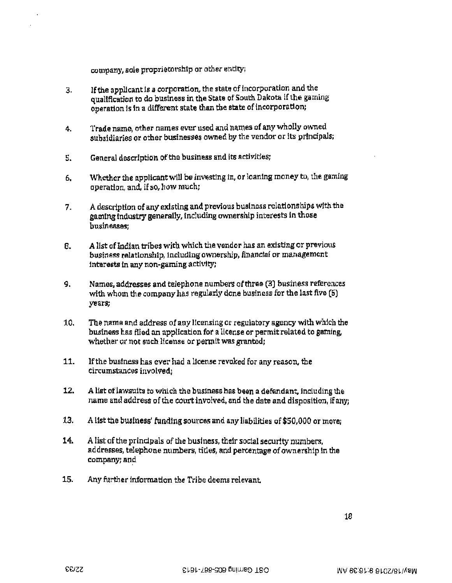company, sole proprietorship or other entity;

- 3, If the applicant 1s a corporation, the state of incorporation and the quallflcation to do business in the State of South Dakota if the gaming operation is in a different state than the state of incorporation;
- 4. Trade name, other names ever used and names of any wholly owned subsidiaries or other businesses owned by the vendor or its prlncipals;
- 5. General description of the business and its activities;
- 6. Whether the applicant will be investing in, or loaning money to, the gaming operation, and, if so, how much;
- *7.* A description of any existing and previous buslness relationships wfth the gamtng Industry generally, including ownership interests in those  $b$ usinesses:
- 8. A list cflndian tribes with which the vendor has an existing or previous business relationship. Jncludlng ownership, financial or management interests ln any non-gaming activity;
- 9. Names, addresses and telephone numbers of three (3) business references with whom the company has regularly done business for the last five (5) years;
- 10. The name and address of any licensing or regulatory agency with which the business has flied an application for a license or permit related to gaming. whether or not such license or permit was granted;
- 11. If the business has ever had a license revoked for any reason, the circumstances involved;
- 12. A list oflawsuits to which the business has been a defendant. Including the name and address of the court involved, and the date and disposition, if anyi
- 13. A list the business' funding sources and any liabilities of \$50,000 or more;
- 14. A list of the principals of the buslness, their social securtty numbers, addresses, telephone numbers, titles, and percentage of ownership in the company; and
- 15. Any further information the Tribe deems relevant.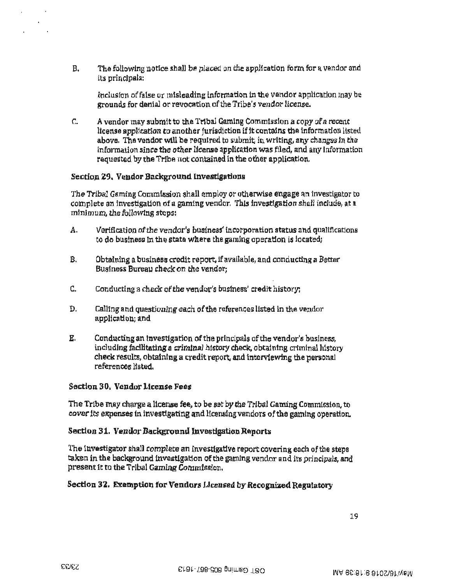B. The following notice shall be placed on the application form for a vendor and its principaJs:

Inclusion of false or mtsleadtng information in the vendor application may be grounds for denial or revocation of the Tribe's vendor license.

C. A vendor may submit to the Tribal Gaming Commission a copy of a recent license application to another jurisdiction if it contains the information listed above. The vendor will be required to submit, in writing, any changes in the information since the other license application was filed, and any Information requested by the Tribe not contained in the other application.

## Section 29. Vendor Background Investigations

The Tribal Gaming Commlssion shall employ or othetwise engage an investigator to complete an investigation of a gaming vendor. This investigation shall include, at a minimum, the following steps:

- A. Verification of the vendor's business' incorporation status and qualifications co do business ln the state where the gaming operation is located;
- B. Obtaining a business credit report, if available, and conducting a Better Business Bureau check on the vendor;
- C. Conducting a check of the vendor's business' credit history:
- D. Galling and questioning each of the references listed in the vendor application; and
- E. Conducting an Investigation of the principals of the vendor's business, including facilitating a crimlnal history check, obtaining criminal history check results, obtaining a credit report, and interviewing the personal references listed.

### Section 30. Vendor License Fees

The Tribe may charge a license fee, to be set by the Tribal Gaming Commlssion, to cover 1ts expenses tn investigating and licensing vendors of the gaming operation.

## Section 31. Vendor Background Investigation Reports

The investigator shall complete an investigative report covering each of the steps taken in the background investigation of the gaming vendor and its principals, and present 1t to the Tribal Gaming Commission.

## Section 32. Exemption for Vendors Licensed by Recognized Regulatory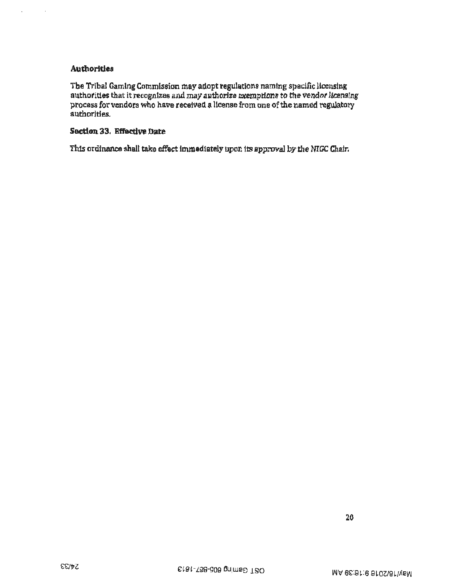## **Authorities**

L.

 $\ddot{\phantom{1}}$ 

The Tribal Gaming Commission may adopt regulations naming specific licensing authorities that it recognizes and may authorize exemptions to the vendor licensing process for vendors who have received a license from one of the named regulatory *authorities* 

## Section 33, Effective Date

This ordinance shall take effect immediately upon its approval by the NIGC Chair.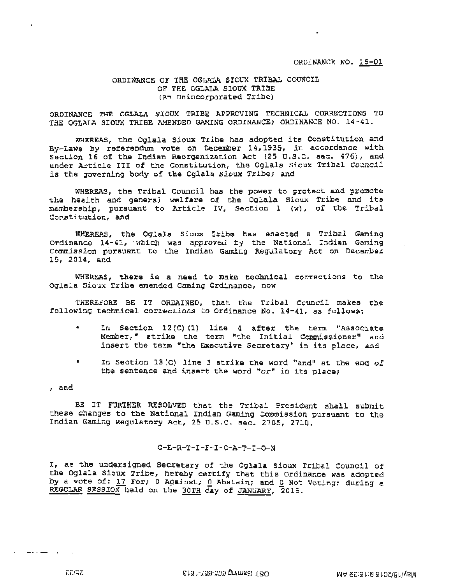#### ORDINANCE OF taE OGLALA SIOUX TRIBAL COUNCIL OF THE OGLALA SIOUX TRIBE (An Unincotporated Tribe)

ORDINANCE THE OGLALA SIOUX TRIBE APPROVING TECHNICAL CORRECTIONS TO THE OGLALA SIOUX TRIBE AMENDED GAMING ORDINANCE; ORDINANCE NO. 14-41.

WHEREAS, the Oglala Sioux Tribe has adopted its Constitution and By-Laws by referendum vote on December 14,1935, in accordance with Section 16 of the Indian Reorganization Act (25 U.S.C. sac. 476), and under Article III of the Constitution, the Oqlala Siouk Tribal Council is the governing body of the Oglala sioux Tribe; and

WHEREAS, the Tribal Council has the power to protect and promote the health and general welfare of the Oglala Sioux Tribe and its membership, pursuant to Article IV. Section 1 (w), of the Tribal Constitution, and

WHEREAS, the Oqlala Sioux Tribe has enacted a Tribal Gaming Ordinance 14-41, which was approved by the National Indian Gaming Commission pursuant to the Indian Gaming Regulatory Act on December 15, 2014, and

WHEREAS, there is a need to make technical corrections to the Oqlaia Sioux Tribe amended Gaming Ordinance, now

THEREFORE BE IT ORDAINED, that the Tribal Council makes the following technical corrections to Ordinance No. l4-4l, as follows:

- In Section 12(C)(1) line 4 after the term "Associate Member," strike the term "the Initial Commissioner" and insert the term "the Executive Secretary" in its place, and
- In Section 13 (C) line 3 strike the word "and" at the end of the sentence and insert the word " $or$ " in its place;

, and

BE IT FURTHER RESOLVED that the Tribal President shall submit these changes to the National Indian Gaming Commission pursuant to the Indian Gaming Regulatory Act, 25 u.s.c. sec. 2705, 2710.

#### C-E-R-T-I-F-I-C-A-T-I-0-N

I, as the undersigned Secretary of the Oglala Sioux Tribal Council of the Oglala Sioux Tribe, hereby certify that this Ordinance was adopted by a vote of! 17 For; 0 Against; Q Abstain; and *Q* Not Voting; during a REGULAR SESSION held on the 30TH day of JANUARY, 2015.

25/33

 $\overline{a}$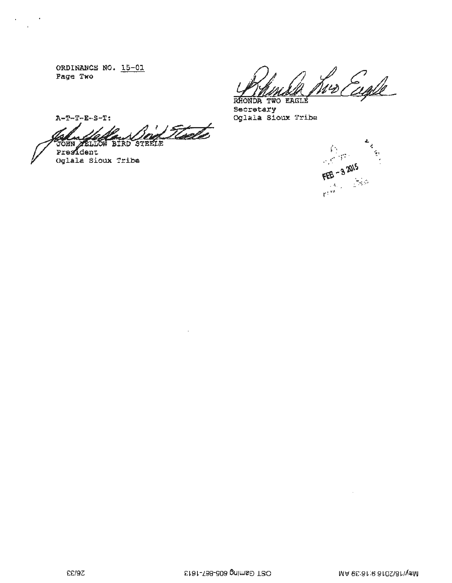ORDINANCE NO. 15-01 Page Two

 $\epsilon$ 

Engle RHONDA TWO EAGLE

Secretary<br>Oglala Sioux Tribe



 $A-T-T-E-S-T$ :

Flode **BIRD STEELE** r. T. Gra JŌHN President

Oglala Sioux Tribe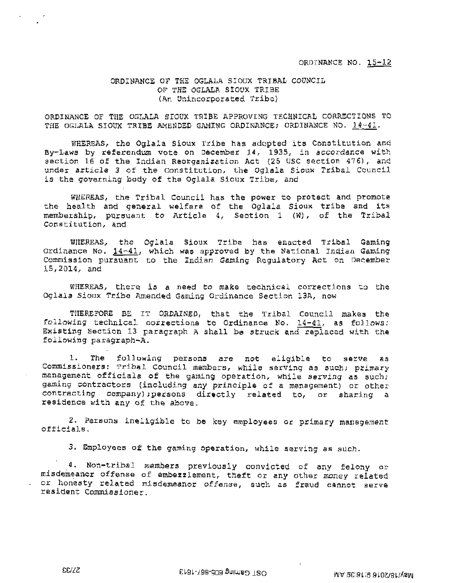ORD!NANCE NO. 15-12

### ORDINANCE OF THE OGLALA SIOUX TRIBAL COUNCIL OF THE OGLALA SIOOX TRIBE (An Unincorporated Tribe )

ORDINANCE OF THE OGLALA SIOUX TRIBE APPROVING TECHNICAL CORRECTIONS TO THE OGLALA SIOUX TRIBE AMENDED GAMING ORDINANCE; ORDINANCE NO. 14-41.

WHEREAS, the Oglala Sioux Tribe has adopted its Constitution and By-Laws by referendum vote on December 14, 1935, in accordance with section 16 of the Indian Reorganization Act (25 USC section 476), and under article 3 of the Constitution, the Oglala Sioux Tribal Council is the governing body of the Oglala Sioux Tribe, and

WHEREAS, the Tribal Council has the power to protect and promote the health and general welfare of the Oglala Sioux tribe and its membership, pursuant to Article 4, Section 1 (W), of the Tribal Constitution, and

WHEREAS, the Oglala Sioux Tribe has enacted Tribal Gaming Ordinance No. 14~41, which was approved by the National Inctian Gaming Commission pursuant to the Indian Gaming Regulatory Act on December 15,2014, and

WHEREAS, there is a need to make technical corrections to the Oglala Sioux Tribe Amended Gaming Ordinance Section 13A, now

THEREFORE BE IT ORDAINED, that the Tribal Council makes the following technical corrections to Ordinance No.  $14-41$ , as follows: Existing Section 13 paragraph A shall be struck and replaced with the following paragraph-A.

1. The following persons are not eligible to serve as Commissioners: Tribal Council members, while serving as such; primary management officials of the gaming operation, while serving as such; gaming contractors (including any principle of a management} or other contracting eompany) ;persons directly related to, or sharing a residence with any of the above.

2. Persons ineligible to be key employees er primary management officials.

3. Employees of the gaming operation, while serving as such.

4. Non-tribal members previously convicted of any felony or misdemeanor offense of embezzlement, theft or any other money related or honesty related misdemeanor offense, such as fraud cannot serve resident Commissioner.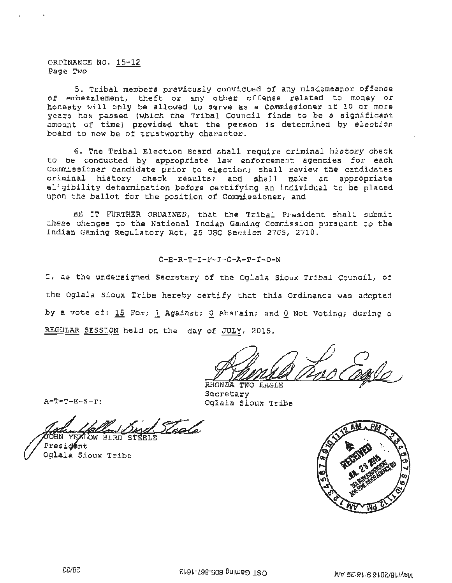ORDINANCE NO. 15-12 Page Two

5. Tribal members previously convicted of any misdemeanor offense of embezzlement, theft or any other offense related to money or honesty will only be allowed to serve as a Commissioner if 10 or more years has passed (which the Tribal Council finds to be a significant amount of time) provided that the person is determined by election board to now be of trustworthy character.

6. The Tribal Election Board shall require criminal history check to be conducted by appropriate law enforcement agencies for each Commissioner candidate prior to election; shall review the candidates criminal history check results; and shall make an appropriate eligibility determination before certifying an individual to be placed upon the ballot for the position of Commissioner, and

BE IT FURTHER ORDAINED, that the Tribal President shall submit these changes to the National Indian Gaming Commission pursuant to the Indian Gaming Regulatory Act, 25 USC Section 2705, 2710.

#### $C- E- R- T- T- F- T- C- A- T- T- O-N$

I, as the undersigned Secretary of the Oglala Sioux Tribal Council, of the Oglala Sioux Tribe hereby certify that this Ordinance was adopted by a vote of: 15 For; 1 Against; 0 Abstain; and 0 Not Voting; during a REGULAR SESSION held on the day of JULY, 2015.

Anne dans Cagle, Dans Cagle

 $A-T-T-E-S-T:$ 

Secretary RHONDA TWO EAG Sioux Tribe

HN YEZLOW BIRD STEELE

Presidént Oglala Sioux Tribe

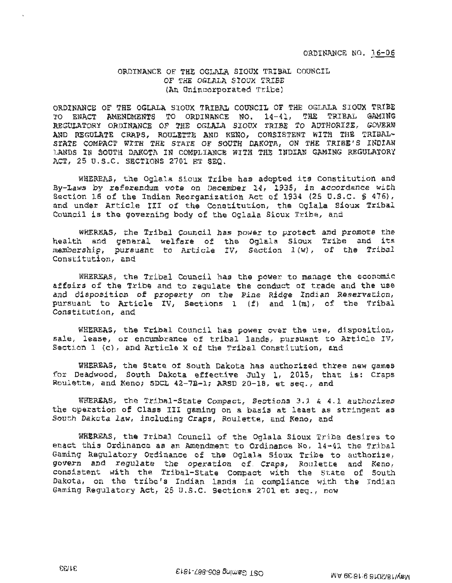### ORDINANCE OF THE OGLALA SIOUX TRIBAL COUNCIL OF THE OGLALA SIOOX TRIBE (An Onincorporated Tribe)

ORDINANCE OF THE OGLALA SIOUX TRIBAL COUNCIL OF THE OGLALA SIOUX TRIBE TO ENACT AMENDMENTS TO ORDINANCE NO. 14-41, THE TRIBAL GAMING REGULATORY ORDINANCE OF THE OGLALA SIOUX TRIBE TO AUTHORIZE, GOVERN AND REGULATE CRAPS, ROULETTE AND KENO, CONSISTENT WITH THE TRIBAL-STATE COMPACT WITH THE STATE OF SOUTH DAKOTA, ON THE TRIBE'S INDIAN LANDS IN SOUTH DAKOTA IN COMPLIANCE WITH THE INDIAN GAMING REGULATORY ACT, 25 U.S.C. SECTIONS 2701 ET SEQ.

WHEREAS, the Oglala Sioux Tribe has adopted its Constitution and By-Laws by referendum vote on December 14, 1935, in accordance with Section 16 of the Indian Reorganization Act of 1934 (25 u.s.c. § 476), and under Article III of the Constitution, the Oglala Sioux Tribal Council is the governing body of the Oglala Sioux Tribe, and

WHEREAS, the Tribal Council has power to protect and promote the minano, the final comment has power to profect and promote the<br>health and general welfare of the Oglala Sioux Tribe and its membership, pursuant to Article IV, Section 1(w), of the Tribal<br>Constitution, and

WHEREAS, the Tribal Council has the power to manage the economic affairs of the Tribe and to regulate the conduct of trade and the use and disposition of property on the Pine Ridge Indian Reservation, pursuant to Article IV, Sections 1 (f) and  $l(m)$ , of the Tribal Constitution, and

WHEREAS, the Tribal Council has power over the use, disposition, sale, lease, or encumbrance of tribal lands, pursuant to Article IV, Section 1 (c), and Article X of the Tribal Constitution, and

WHEREAS, the State of South Dakota has authorized three new games for Deadwood, South Dakota effective July 1, 2015, that is: Craps Roulette, and Keno; SDCL 42-7B-1; ARSD 20-18, et seq., and

WHEREAS, the Tribal-State Compact, Sections 3. 1 & 4.l authorizes the operation of Class III gaming on a basis at least as stringent as South Dakota law, including Craps, Roulette, and Keno, and

WHEREAS, the Tribal Council of the Oglala Sioux Tribe desires to enact this Ordinance as an Amendment to Ordinance No. 14-41 the Tribal Gaming Regulatory Ordinance of the Oglala Sioux Tribe to authorize, govern and regulate the operation of Craps, Roulette and Keno, consistent with the Tribal-State Compact with the State of South Dakota, on the tribe's Indian lands in compliance with the Indian Gaming Regulatory Act, 25 U.S.C. Sections 2701 et seq., now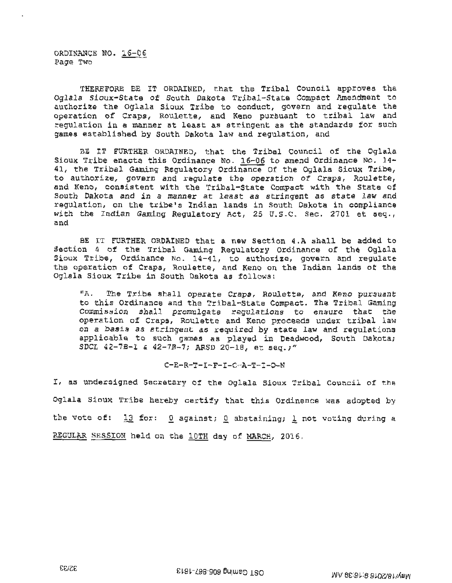ORDINANCE NO. 16-06 Page Two

THEREFORE BE IT ORDAINED, that the Tribal Council approves the Oglala Sioux-State of South Dakota Tribal-State Compact Amendment to authorize the Oglala Sioux Tribe to conduct, govern and regulate the operation of Craps, Roulette, and Keno pursuant to tribal law and regulation in a manner at least as stringent as the standards for such games established by South Dakota law and regulation, and

BE IT FURTHER ORDAINED, that the Tribal Council of the Oglala Sioux Tribe enacts this Ordinance No.  $16-06$  to amend Ordinance No. 14-41, the Tribal Gaming Regulatory Ordinance Of the Oglala Sioux Tribe, to authorize, govern and regulate the operation of Craps, Roulette, and Keno, consistent with the Tribal-State Compact with the State of South Dakota and in a manner at least as stringent as state law and regulation, on the tribe's Indian lands in South Dakota in compliance with the Indian Gaming Regulatory Act, 25 U.S.C. Sec. 2701 et seq., and

BE IT FURTHER ORDAINED that a new Section 4.A shall be added to Section 4 of the Tribal Gaming Regulatory Ordinance of the Oglala Sioux Tribe, Ordinance No. 14-41, to authorize, govern and regulate the operation of Craps, Roulette, and Keno on the Indian lands of the Oglala Sioux Tribe in South Dakota as follows:

 $"A.$ The Tribe shall operate Craps, Roulette, and Keno pursuant to this Ordinance and the Tribal-State Compact. The Tribal Gaming Commission shall promuigate regulations to ensure that the operation of Craps, Roulette and Keno proceeds under tribal law on a basis as stringent as required by state law and regulations applicable to such games as played in Deadwood, South Dakota; SDCL 42-7B-1 & 42-7B-7; ARSD 20-18, et seq.;"

$$
\texttt{C-E-R-T-I-F-I-C-A-T-I-O-N}\\
$$

I, as undersigned Secretary of the Oglala Sioux Tribal Council of the Oglala Sioux Tribe hereby certify that this Ordinence was adopted by the vote of: 13 for: 0 against; 0 abstaining; 1 not voting during a REGULAR SESSION held on the lOTH day of MARCH, 2016.